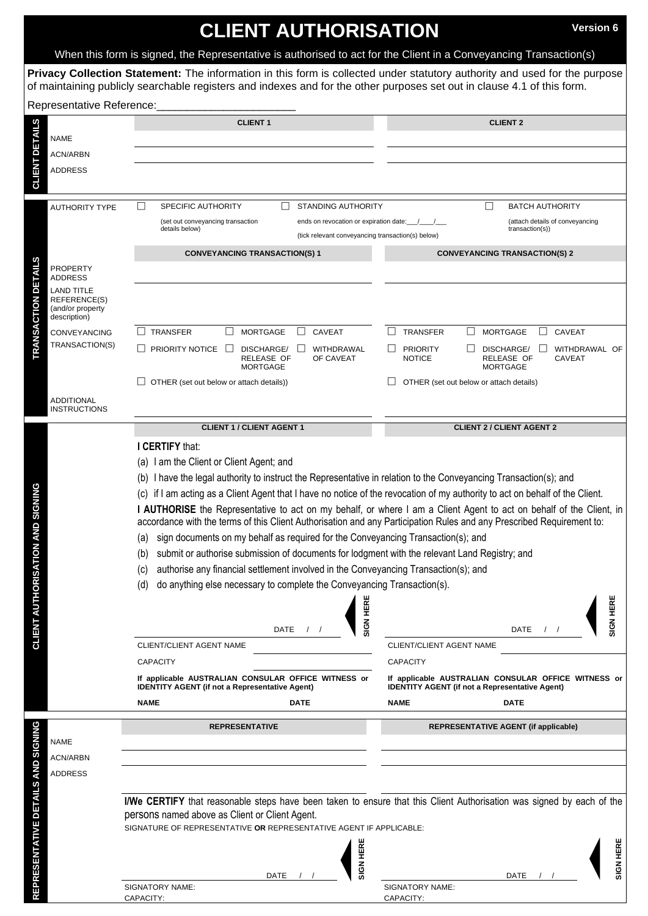# **CLIENT AUTHORISATION** Version 6

When this form is signed, the Representative is authorised to act for the Client in a Conveyancing Transaction(s)

**Privacy Collection Statement:** The information in this form is collected under statutory authority and used for the purpose of maintaining publicly searchable registers and indexes and for the other purposes set out in clause 4.1 of this form.

| Representative Reference:                          |                                   |                                                                                                                              |                                                                                                                     |
|----------------------------------------------------|-----------------------------------|------------------------------------------------------------------------------------------------------------------------------|---------------------------------------------------------------------------------------------------------------------|
| <b>CLIENT DETAILS</b>                              |                                   | <b>CLIENT 1</b>                                                                                                              | <b>CLIENT 2</b>                                                                                                     |
|                                                    | <b>NAME</b>                       |                                                                                                                              |                                                                                                                     |
|                                                    | ACN/ARBN                          |                                                                                                                              |                                                                                                                     |
|                                                    | <b>ADDRESS</b>                    |                                                                                                                              |                                                                                                                     |
|                                                    |                                   |                                                                                                                              |                                                                                                                     |
|                                                    | <b>AUTHORITY TYPE</b>             | <b>STANDING AUTHORITY</b><br>SPECIFIC AUTHORITY<br>$\Box$                                                                    | ப<br><b>BATCH AUTHORITY</b>                                                                                         |
| <b>DETAILS</b>                                     |                                   | (set out conveyancing transaction<br>ends on revocation or expiration date:                                                  | (attach details of conveyancing                                                                                     |
|                                                    |                                   | details below)<br>(tick relevant conveyancing transaction(s) below)                                                          | transaction(s)                                                                                                      |
|                                                    |                                   | <b>CONVEYANCING TRANSACTION(S) 1</b>                                                                                         | <b>CONVEYANCING TRANSACTION(S) 2</b>                                                                                |
|                                                    | <b>PROPERTY</b>                   |                                                                                                                              |                                                                                                                     |
|                                                    | ADDRESS                           |                                                                                                                              |                                                                                                                     |
|                                                    | <b>LAND TITLE</b><br>REFERENCE(S) |                                                                                                                              |                                                                                                                     |
|                                                    | (and/or property<br>description)  |                                                                                                                              |                                                                                                                     |
| <b>TRANSACTION</b>                                 | <b>CONVEYANCING</b>               | <b>TRANSFER</b><br><b>MORTGAGE</b><br>CAVEAT<br>$\Box$<br>$\perp$                                                            | <b>TRANSFER</b><br><b>MORTGAGE</b><br>CAVEAT<br>ш<br>$\perp$<br>$\Box$                                              |
|                                                    | TRANSACTION(S)                    | <b>PRIORITY NOTICE</b> □<br>DISCHARGE/<br>WITHDRAWAL                                                                         | <b>PRIORITY</b><br>WITHDRAWAL OF<br>DISCHARGE/                                                                      |
|                                                    |                                   | RELEASE OF<br>OF CAVEAT<br><b>MORTGAGE</b>                                                                                   | RELEASE OF<br><b>NOTICE</b><br><b>CAVEAT</b><br><b>MORTGAGE</b>                                                     |
|                                                    |                                   | OTHER (set out below or attach details))                                                                                     | OTHER (set out below or attach details)                                                                             |
|                                                    | <b>ADDITIONAL</b>                 |                                                                                                                              |                                                                                                                     |
|                                                    | <b>INSTRUCTIONS</b>               |                                                                                                                              |                                                                                                                     |
|                                                    |                                   | <b>CLIENT 1 / CLIENT AGENT 1</b>                                                                                             | <b>CLIENT 2 / CLIENT AGENT 2</b>                                                                                    |
| <b>DRISATION AND SIGNING</b><br><b>CLIENT AUTH</b> |                                   | I CERTIFY that:                                                                                                              |                                                                                                                     |
|                                                    |                                   | (a) I am the Client or Client Agent; and                                                                                     |                                                                                                                     |
|                                                    |                                   | (b) I have the legal authority to instruct the Representative in relation to the Conveyancing Transaction(s); and            |                                                                                                                     |
|                                                    |                                   | (c) if I am acting as a Client Agent that I have no notice of the revocation of my authority to act on behalf of the Client. |                                                                                                                     |
|                                                    |                                   |                                                                                                                              | I AUTHORISE the Representative to act on my behalf, or where I am a Client Agent to act on behalf of the Client, in |
|                                                    |                                   | accordance with the terms of this Client Authorisation and any Participation Rules and any Prescribed Requirement to:        |                                                                                                                     |
|                                                    |                                   | sign documents on my behalf as required for the Conveyancing Transaction(s); and<br>(a)                                      |                                                                                                                     |
|                                                    |                                   | submit or authorise submission of documents for lodgment with the relevant Land Registry; and<br>(b)                         |                                                                                                                     |
|                                                    |                                   | authorise any financial settlement involved in the Conveyancing Transaction(s); and<br>(c)                                   |                                                                                                                     |
|                                                    |                                   | do anything else necessary to complete the Conveyancing Transaction(s).<br>(d)                                               |                                                                                                                     |
|                                                    |                                   |                                                                                                                              |                                                                                                                     |
|                                                    |                                   | <b>SIGN HERE</b>                                                                                                             | SIGN HERE                                                                                                           |
|                                                    |                                   | DATE                                                                                                                         | DATE<br>$\frac{1}{2}$                                                                                               |
|                                                    |                                   | <b>CLIENT/CLIENT AGENT NAME</b>                                                                                              | <b>CLIENT/CLIENT AGENT NAME</b>                                                                                     |
|                                                    |                                   | <b>CAPACITY</b>                                                                                                              | <b>CAPACITY</b>                                                                                                     |
|                                                    |                                   | If applicable AUSTRALIAN CONSULAR OFFICE WITNESS or<br><b>IDENTITY AGENT (if not a Representative Agent)</b>                 | If applicable AUSTRALIAN CONSULAR OFFICE WITNESS or<br><b>IDENTITY AGENT (if not a Representative Agent)</b>        |
|                                                    |                                   | <b>NAME</b><br><b>DATE</b>                                                                                                   | <b>NAME</b><br>DATE                                                                                                 |
|                                                    |                                   |                                                                                                                              |                                                                                                                     |
|                                                    |                                   | <b>REPRESENTATIVE</b>                                                                                                        | <b>REPRESENTATIVE AGENT (if applicable)</b>                                                                         |
|                                                    | <b>NAME</b>                       |                                                                                                                              |                                                                                                                     |
|                                                    | <b>ACN/ARBN</b>                   |                                                                                                                              |                                                                                                                     |
|                                                    | <b>ADDRESS</b>                    |                                                                                                                              |                                                                                                                     |
|                                                    |                                   | I/We CERTIFY that reasonable steps have been taken to ensure that this Client Authorisation was signed by each of the        |                                                                                                                     |
|                                                    |                                   | persons named above as Client or Client Agent.                                                                               |                                                                                                                     |
|                                                    |                                   | SIGNATURE OF REPRESENTATIVE OR REPRESENTATIVE AGENT IF APPLICABLE:                                                           |                                                                                                                     |
|                                                    |                                   |                                                                                                                              |                                                                                                                     |
|                                                    |                                   | <b>SIGN HERE</b>                                                                                                             | SIGN HERE                                                                                                           |
| REPRESENTATIVE DETAILS AND SIGNING                 |                                   | DATE                                                                                                                         | DATE                                                                                                                |
|                                                    |                                   | SIGNATORY NAME:<br>CAPACITY:                                                                                                 | SIGNATORY NAME:<br>CAPACITY:                                                                                        |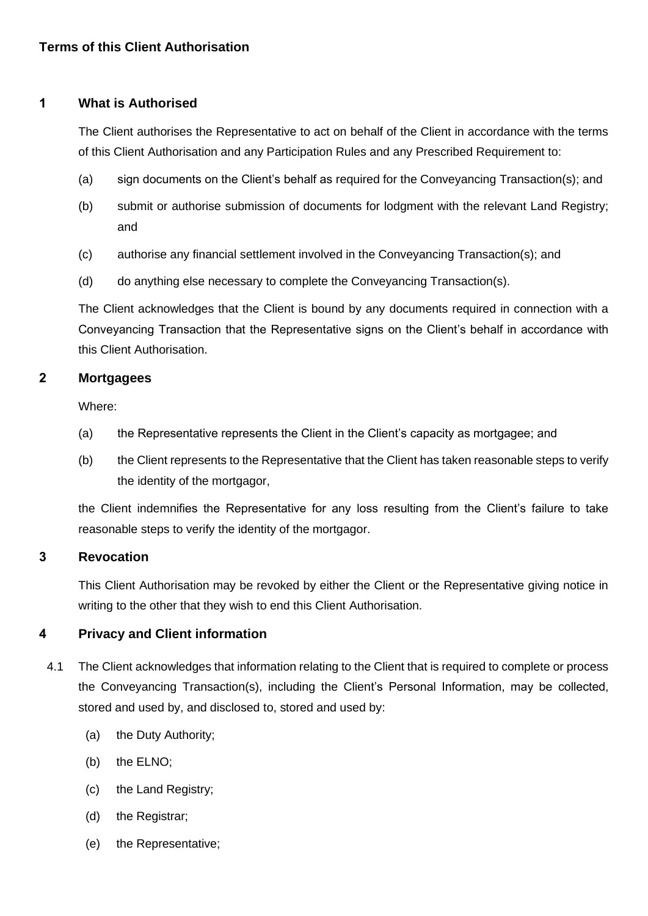## **1 What is Authorised**

The Client authorises the Representative to act on behalf of the Client in accordance with the terms of this Client Authorisation and any Participation Rules and any Prescribed Requirement to:

- (a) sign documents on the Client's behalf as required for the Conveyancing Transaction(s); and
- (b) submit or authorise submission of documents for lodgment with the relevant Land Registry; and
- (c) authorise any financial settlement involved in the Conveyancing Transaction(s); and
- (d) do anything else necessary to complete the Conveyancing Transaction(s).

The Client acknowledges that the Client is bound by any documents required in connection with a Conveyancing Transaction that the Representative signs on the Client's behalf in accordance with this Client Authorisation.

### **2 Mortgagees**

Where:

- (a) the Representative represents the Client in the Client's capacity as mortgagee; and
- (b) the Client represents to the Representative that the Client has taken reasonable steps to verify the identity of the mortgagor,

the Client indemnifies the Representative for any loss resulting from the Client's failure to take reasonable steps to verify the identity of the mortgagor.

### **3 Revocation**

This Client Authorisation may be revoked by either the Client or the Representative giving notice in writing to the other that they wish to end this Client Authorisation.

# **4 Privacy and Client information**

- 4.1 The Client acknowledges that information relating to the Client that is required to complete or process the Conveyancing Transaction(s), including the Client's Personal Information, may be collected, stored and used by, and disclosed to, stored and used by:
	- (a) the Duty Authority;
	- (b) the ELNO;
	- (c) the Land Registry;
	- (d) the Registrar;
	- (e) the Representative;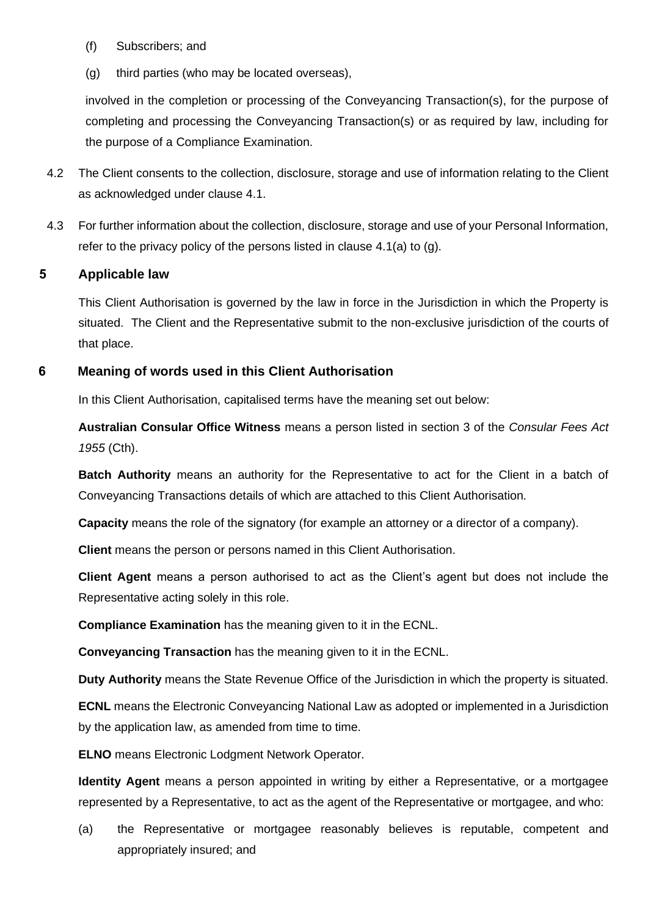- (f) Subscribers; and
- (g) third parties (who may be located overseas),

involved in the completion or processing of the Conveyancing Transaction(s), for the purpose of completing and processing the Conveyancing Transaction(s) or as required by law, including for the purpose of a Compliance Examination.

- 4.2 The Client consents to the collection, disclosure, storage and use of information relating to the Client as acknowledged under clause 4.1.
- 4.3 For further information about the collection, disclosure, storage and use of your Personal Information, refer to the privacy policy of the persons listed in clause 4.1(a) to (g).

### **5 Applicable law**

This Client Authorisation is governed by the law in force in the Jurisdiction in which the Property is situated. The Client and the Representative submit to the non-exclusive jurisdiction of the courts of that place.

### **6 Meaning of words used in this Client Authorisation**

In this Client Authorisation, capitalised terms have the meaning set out below:

**Australian Consular Office Witness** means a person listed in section 3 of the *Consular Fees Act 1955* (Cth).

**Batch Authority** means an authority for the Representative to act for the Client in a batch of Conveyancing Transactions details of which are attached to this Client Authorisation.

**Capacity** means the role of the signatory (for example an attorney or a director of a company).

**Client** means the person or persons named in this Client Authorisation.

**Client Agent** means a person authorised to act as the Client's agent but does not include the Representative acting solely in this role.

**Compliance Examination** has the meaning given to it in the ECNL.

**Conveyancing Transaction** has the meaning given to it in the ECNL.

**Duty Authority** means the State Revenue Office of the Jurisdiction in which the property is situated.

**ECNL** means the Electronic Conveyancing National Law as adopted or implemented in a Jurisdiction by the application law, as amended from time to time.

**ELNO** means Electronic Lodgment Network Operator.

**Identity Agent** means a person appointed in writing by either a Representative, or a mortgagee represented by a Representative, to act as the agent of the Representative or mortgagee, and who:

(a) the Representative or mortgagee reasonably believes is reputable, competent and appropriately insured; and